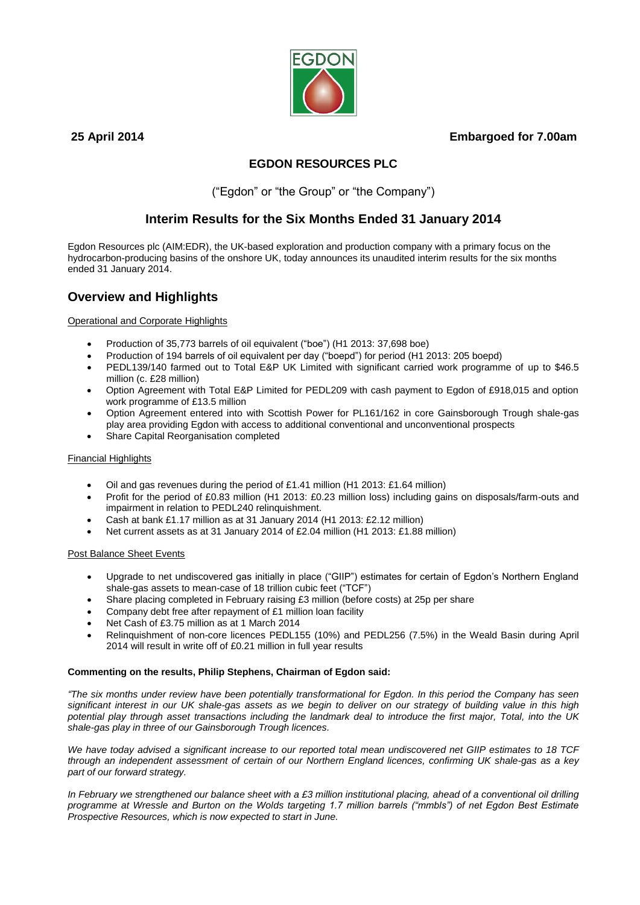# **25 April 2014 Embargoed for 7.00am**



# **EGDON RESOURCES PLC**

("Egdon" or "the Group" or "the Company")

# **Interim Results for the Six Months Ended 31 January 2014**

Egdon Resources plc (AIM:EDR), the UK-based exploration and production company with a primary focus on the hydrocarbon-producing basins of the onshore UK, today announces its unaudited interim results for the six months ended 31 January 2014.

# **Overview and Highlights**

Operational and Corporate Highlights

- Production of 35,773 barrels of oil equivalent ("boe") (H1 2013: 37,698 boe)
- Production of 194 barrels of oil equivalent per day ("boepd") for period (H1 2013: 205 boepd)
- PEDL139/140 farmed out to Total E&P UK Limited with significant carried work programme of up to \$46.5 million (c. £28 million)
- Option Agreement with Total E&P Limited for PEDL209 with cash payment to Egdon of £918,015 and option work programme of £13.5 million
- Option Agreement entered into with Scottish Power for PL161/162 in core Gainsborough Trough shale-gas play area providing Egdon with access to additional conventional and unconventional prospects
- Share Capital Reorganisation completed

# Financial Highlights

- Oil and gas revenues during the period of £1.41 million (H1 2013: £1.64 million)
- Profit for the period of £0.83 million (H1 2013: £0.23 million loss) including gains on disposals/farm-outs and impairment in relation to PEDL240 relinquishment.
- Cash at bank £1.17 million as at 31 January 2014 (H1 2013: £2.12 million)
- Net current assets as at 31 January 2014 of £2.04 million (H1 2013: £1.88 million)

# **Post Balance Sheet Events**

- Upgrade to net undiscovered gas initially in place ("GIIP") estimates for certain of Egdon's Northern England shale-gas assets to mean-case of 18 trillion cubic feet ("TCF")
- Share placing completed in February raising £3 million (before costs) at 25p per share
- Company debt free after repayment of £1 million loan facility
- Net Cash of £3.75 million as at 1 March 2014
- Relinquishment of non-core licences PEDL155 (10%) and PEDL256 (7.5%) in the Weald Basin during April 2014 will result in write off of £0.21 million in full year results

# **Commenting on the results, Philip Stephens, Chairman of Egdon said:**

*"The six months under review have been potentially transformational for Egdon. In this period the Company has seen significant interest in our UK shale-gas assets as we begin to deliver on our strategy of building value in this high potential play through asset transactions including the landmark deal to introduce the first major, Total, into the UK shale-gas play in three of our Gainsborough Trough licences.*

*We have today advised a significant increase to our reported total mean undiscovered net GIIP estimates to 18 TCF through an independent assessment of certain of our Northern England licences, confirming UK shale-gas as a key part of our forward strategy.* 

*In February we strengthened our balance sheet with a £3 million institutional placing, ahead of a conventional oil drilling programme at Wressle and Burton on the Wolds targeting 1.7 million barrels ("mmbls") of net Egdon Best Estimate Prospective Resources, which is now expected to start in June.*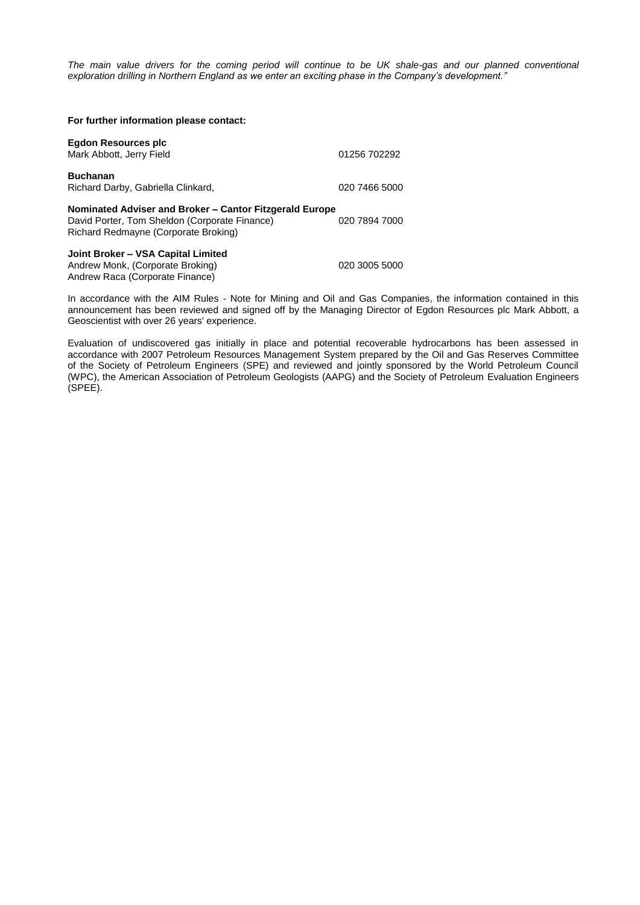*The main value drivers for the coming period will continue to be UK shale-gas and our planned conventional exploration drilling in Northern England as we enter an exciting phase in the Company's development."*

| For further information please contact:                                                                                                          |               |
|--------------------------------------------------------------------------------------------------------------------------------------------------|---------------|
| Egdon Resources plc<br>Mark Abbott, Jerry Field                                                                                                  | 01256 702292  |
| <b>Buchanan</b><br>Richard Darby, Gabriella Clinkard,                                                                                            | 020 7466 5000 |
| Nominated Adviser and Broker – Cantor Fitzgerald Europe<br>David Porter, Tom Sheldon (Corporate Finance)<br>Richard Redmayne (Corporate Broking) | 020 7894 7000 |
| Joint Broker - VSA Capital Limited<br>Andrew Monk, (Corporate Broking)<br>Andrew Raca (Corporate Finance)                                        | 020 3005 5000 |

In accordance with the AIM Rules - Note for Mining and Oil and Gas Companies, the information contained in this announcement has been reviewed and signed off by the Managing Director of Egdon Resources plc Mark Abbott, a Geoscientist with over 26 years' experience.

Evaluation of undiscovered gas initially in place and potential recoverable hydrocarbons has been assessed in accordance with 2007 Petroleum Resources Management System prepared by the Oil and Gas Reserves Committee of the Society of Petroleum Engineers (SPE) and reviewed and jointly sponsored by the World Petroleum Council (WPC), the American Association of Petroleum Geologists (AAPG) and the Society of Petroleum Evaluation Engineers (SPEE).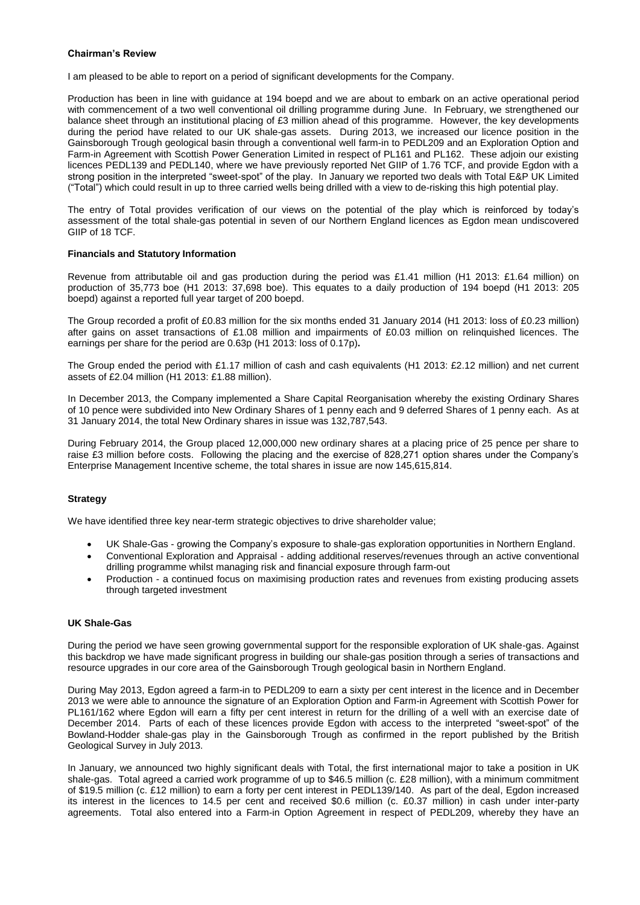### **Chairman's Review**

I am pleased to be able to report on a period of significant developments for the Company.

Production has been in line with guidance at 194 boepd and we are about to embark on an active operational period with commencement of a two well conventional oil drilling programme during June. In February, we strengthened our balance sheet through an institutional placing of £3 million ahead of this programme. However, the key developments during the period have related to our UK shale-gas assets. During 2013, we increased our licence position in the Gainsborough Trough geological basin through a conventional well farm-in to PEDL209 and an Exploration Option and Farm-in Agreement with Scottish Power Generation Limited in respect of PL161 and PL162. These adjoin our existing licences PEDL139 and PEDL140, where we have previously reported Net GIIP of 1.76 TCF, and provide Egdon with a strong position in the interpreted "sweet-spot" of the play. In January we reported two deals with Total E&P UK Limited ("Total") which could result in up to three carried wells being drilled with a view to de-risking this high potential play.

The entry of Total provides verification of our views on the potential of the play which is reinforced by today's assessment of the total shale-gas potential in seven of our Northern England licences as Egdon mean undiscovered GIIP of 18 TCF.

#### **Financials and Statutory Information**

Revenue from attributable oil and gas production during the period was £1.41 million (H1 2013: £1.64 million) on production of 35,773 boe (H1 2013: 37,698 boe). This equates to a daily production of 194 boepd (H1 2013: 205 boepd) against a reported full year target of 200 boepd.

The Group recorded a profit of £0.83 million for the six months ended 31 January 2014 (H1 2013: loss of £0.23 million) after gains on asset transactions of £1.08 million and impairments of £0.03 million on relinquished licences. The earnings per share for the period are 0.63p (H1 2013: loss of 0.17p)**.**

The Group ended the period with £1.17 million of cash and cash equivalents (H1 2013: £2.12 million) and net current assets of £2.04 million (H1 2013: £1.88 million).

In December 2013, the Company implemented a Share Capital Reorganisation whereby the existing Ordinary Shares of 10 pence were subdivided into New Ordinary Shares of 1 penny each and 9 deferred Shares of 1 penny each. As at 31 January 2014, the total New Ordinary shares in issue was 132,787,543.

During February 2014, the Group placed 12,000,000 new ordinary shares at a placing price of 25 pence per share to raise £3 million before costs. Following the placing and the exercise of 828,271 option shares under the Company's Enterprise Management Incentive scheme, the total shares in issue are now 145,615,814.

### **Strategy**

We have identified three key near-term strategic objectives to drive shareholder value;

- UK Shale-Gas growing the Company's exposure to shale-gas exploration opportunities in Northern England.
- Conventional Exploration and Appraisal adding additional reserves/revenues through an active conventional drilling programme whilst managing risk and financial exposure through farm-out
- Production a continued focus on maximising production rates and revenues from existing producing assets through targeted investment

### **UK Shale-Gas**

During the period we have seen growing governmental support for the responsible exploration of UK shale-gas. Against this backdrop we have made significant progress in building our shale-gas position through a series of transactions and resource upgrades in our core area of the Gainsborough Trough geological basin in Northern England.

During May 2013, Egdon agreed a farm-in to PEDL209 to earn a sixty per cent interest in the licence and in December 2013 we were able to announce the signature of an Exploration Option and Farm-in Agreement with Scottish Power for PL161/162 where Egdon will earn a fifty per cent interest in return for the drilling of a well with an exercise date of December 2014. Parts of each of these licences provide Egdon with access to the interpreted "sweet-spot" of the Bowland-Hodder shale-gas play in the Gainsborough Trough as confirmed in the report published by the British Geological Survey in July 2013.

In January, we announced two highly significant deals with Total, the first international major to take a position in UK shale-gas. Total agreed a carried work programme of up to \$46.5 million (c. £28 million), with a minimum commitment of \$19.5 million (c. £12 million) to earn a forty per cent interest in PEDL139/140. As part of the deal, Egdon increased its interest in the licences to 14.5 per cent and received \$0.6 million (c. £0.37 million) in cash under inter-party agreements. Total also entered into a Farm-in Option Agreement in respect of PEDL209, whereby they have an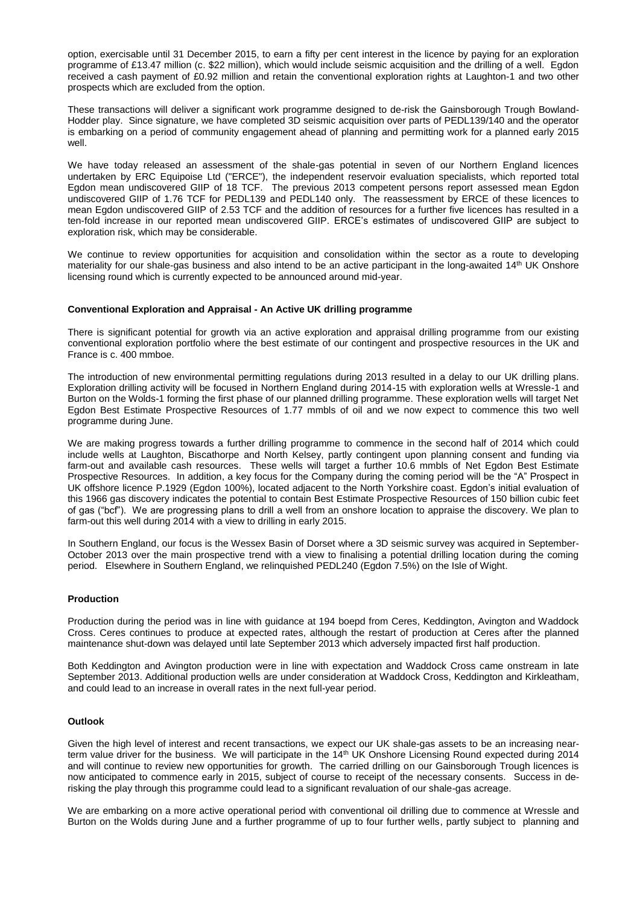option, exercisable until 31 December 2015, to earn a fifty per cent interest in the licence by paying for an exploration programme of £13.47 million (c. \$22 million), which would include seismic acquisition and the drilling of a well. Egdon received a cash payment of £0.92 million and retain the conventional exploration rights at Laughton-1 and two other prospects which are excluded from the option.

These transactions will deliver a significant work programme designed to de-risk the Gainsborough Trough Bowland-Hodder play. Since signature, we have completed 3D seismic acquisition over parts of PEDL139/140 and the operator is embarking on a period of community engagement ahead of planning and permitting work for a planned early 2015 well.

We have today released an assessment of the shale-gas potential in seven of our Northern England licences undertaken by ERC Equipoise Ltd ("ERCE"), the independent reservoir evaluation specialists, which reported total Egdon mean undiscovered GIIP of 18 TCF. The previous 2013 competent persons report assessed mean Egdon undiscovered GIIP of 1.76 TCF for PEDL139 and PEDL140 only. The reassessment by ERCE of these licences to mean Egdon undiscovered GIIP of 2.53 TCF and the addition of resources for a further five licences has resulted in a ten-fold increase in our reported mean undiscovered GIIP. ERCE's estimates of undiscovered GIIP are subject to exploration risk, which may be considerable.

We continue to review opportunities for acquisition and consolidation within the sector as a route to developing materiality for our shale-gas business and also intend to be an active participant in the long-awaited 14<sup>th</sup> UK Onshore licensing round which is currently expected to be announced around mid-year.

#### **Conventional Exploration and Appraisal - An Active UK drilling programme**

There is significant potential for growth via an active exploration and appraisal drilling programme from our existing conventional exploration portfolio where the best estimate of our contingent and prospective resources in the UK and France is c. 400 mmboe.

The introduction of new environmental permitting regulations during 2013 resulted in a delay to our UK drilling plans. Exploration drilling activity will be focused in Northern England during 2014-15 with exploration wells at Wressle-1 and Burton on the Wolds-1 forming the first phase of our planned drilling programme. These exploration wells will target Net Egdon Best Estimate Prospective Resources of 1.77 mmbls of oil and we now expect to commence this two well programme during June.

We are making progress towards a further drilling programme to commence in the second half of 2014 which could include wells at Laughton, Biscathorpe and North Kelsey, partly contingent upon planning consent and funding via farm-out and available cash resources. These wells will target a further 10.6 mmbls of Net Egdon Best Estimate Prospective Resources. In addition, a key focus for the Company during the coming period will be the "A" Prospect in UK offshore licence P.1929 (Egdon 100%), located adjacent to the North Yorkshire coast. Egdon's initial evaluation of this 1966 gas discovery indicates the potential to contain Best Estimate Prospective Resources of 150 billion cubic feet of gas ("bcf"). We are progressing plans to drill a well from an onshore location to appraise the discovery. We plan to farm-out this well during 2014 with a view to drilling in early 2015.

In Southern England, our focus is the Wessex Basin of Dorset where a 3D seismic survey was acquired in September-October 2013 over the main prospective trend with a view to finalising a potential drilling location during the coming period. Elsewhere in Southern England, we relinquished PEDL240 (Egdon 7.5%) on the Isle of Wight.

### **Production**

Production during the period was in line with guidance at 194 boepd from Ceres, Keddington, Avington and Waddock Cross. Ceres continues to produce at expected rates, although the restart of production at Ceres after the planned maintenance shut-down was delayed until late September 2013 which adversely impacted first half production.

Both Keddington and Avington production were in line with expectation and Waddock Cross came onstream in late September 2013. Additional production wells are under consideration at Waddock Cross, Keddington and Kirkleatham, and could lead to an increase in overall rates in the next full-year period.

#### **Outlook**

Given the high level of interest and recent transactions, we expect our UK shale-gas assets to be an increasing nearterm value driver for the business. We will participate in the 14<sup>th</sup> UK Onshore Licensing Round expected during 2014 and will continue to review new opportunities for growth. The carried drilling on our Gainsborough Trough licences is now anticipated to commence early in 2015, subject of course to receipt of the necessary consents. Success in derisking the play through this programme could lead to a significant revaluation of our shale-gas acreage.

We are embarking on a more active operational period with conventional oil drilling due to commence at Wressle and Burton on the Wolds during June and a further programme of up to four further wells, partly subject to planning and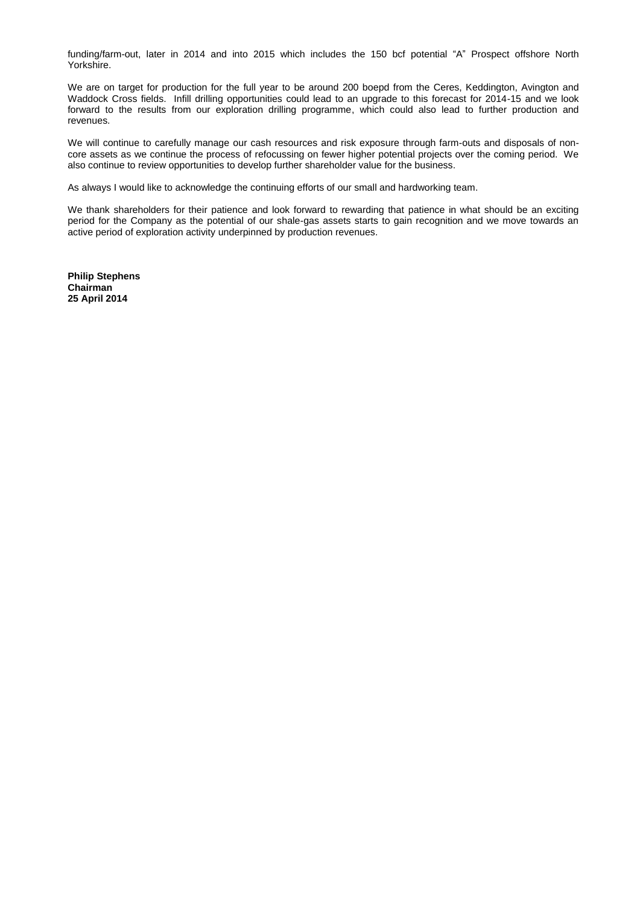funding/farm-out, later in 2014 and into 2015 which includes the 150 bcf potential "A" Prospect offshore North Yorkshire.

We are on target for production for the full year to be around 200 boepd from the Ceres, Keddington, Avington and Waddock Cross fields. Infill drilling opportunities could lead to an upgrade to this forecast for 2014-15 and we look forward to the results from our exploration drilling programme, which could also lead to further production and revenues.

We will continue to carefully manage our cash resources and risk exposure through farm-outs and disposals of noncore assets as we continue the process of refocussing on fewer higher potential projects over the coming period. We also continue to review opportunities to develop further shareholder value for the business.

As always I would like to acknowledge the continuing efforts of our small and hardworking team.

We thank shareholders for their patience and look forward to rewarding that patience in what should be an exciting period for the Company as the potential of our shale-gas assets starts to gain recognition and we move towards an active period of exploration activity underpinned by production revenues.

**Philip Stephens Chairman 25 April 2014**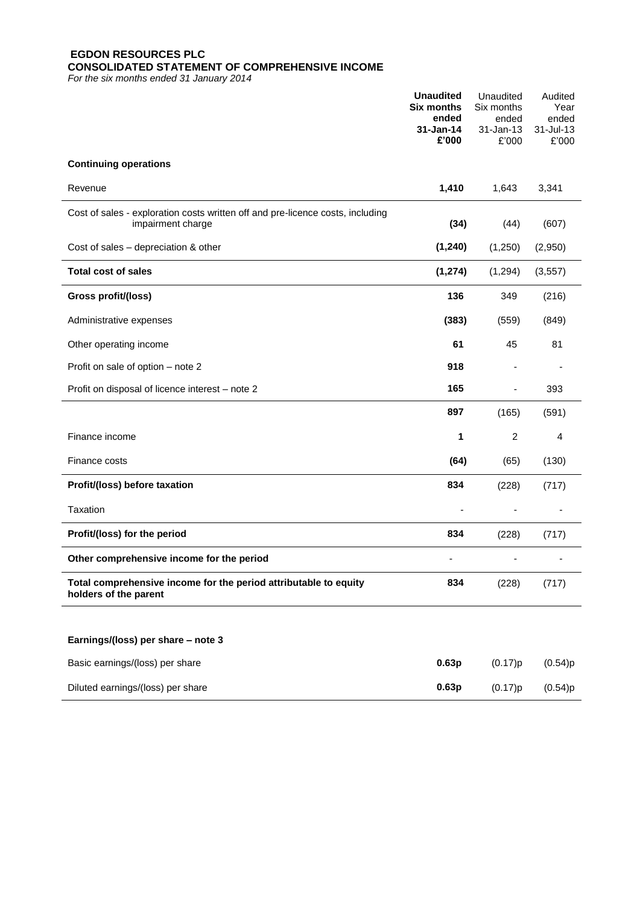# **EGDON RESOURCES PLC CONSOLIDATED STATEMENT OF COMPREHENSIVE INCOME**

*For the six months ended 31 January 2014*

|                                                                                                     | <b>Unaudited</b><br><b>Six months</b><br>ended | Unaudited<br>Six months<br>ended | Audited<br>Year<br>ended |
|-----------------------------------------------------------------------------------------------------|------------------------------------------------|----------------------------------|--------------------------|
|                                                                                                     | $31 - Jan-14$<br>£'000                         | 31-Jan-13<br>£'000               | 31-Jul-13<br>£'000       |
| <b>Continuing operations</b>                                                                        |                                                |                                  |                          |
| Revenue                                                                                             | 1,410                                          | 1,643                            | 3,341                    |
| Cost of sales - exploration costs written off and pre-licence costs, including<br>impairment charge | (34)                                           | (44)                             | (607)                    |
| Cost of sales - depreciation & other                                                                | (1, 240)                                       | (1,250)                          | (2,950)                  |
| <b>Total cost of sales</b>                                                                          | (1, 274)                                       | (1, 294)                         | (3, 557)                 |
| Gross profit/(loss)                                                                                 | 136                                            | 349                              | (216)                    |
| Administrative expenses                                                                             | (383)                                          | (559)                            | (849)                    |
| Other operating income                                                                              | 61                                             | 45                               | 81                       |
| Profit on sale of option - note 2                                                                   | 918                                            |                                  |                          |
| Profit on disposal of licence interest - note 2                                                     | 165                                            | $\overline{\phantom{a}}$         | 393                      |
|                                                                                                     | 897                                            | (165)                            | (591)                    |
| Finance income                                                                                      | 1                                              | $\overline{c}$                   | 4                        |
| Finance costs                                                                                       | (64)                                           | (65)                             | (130)                    |
| Profit/(loss) before taxation                                                                       | 834                                            | (228)                            | (717)                    |
| Taxation                                                                                            |                                                |                                  |                          |
| Profit/(loss) for the period                                                                        | 834                                            | (228)                            | (717)                    |
| Other comprehensive income for the period                                                           |                                                |                                  |                          |
| Total comprehensive income for the period attributable to equity<br>holders of the parent           | 834                                            | (228)                            | (717)                    |
|                                                                                                     |                                                |                                  |                          |
| Earnings/(loss) per share - note 3                                                                  |                                                |                                  |                          |
| Basic earnings/(loss) per share                                                                     | 0.63p                                          | (0.17)p                          | (0.54)p                  |
| Diluted earnings/(loss) per share                                                                   | 0.63p                                          | (0.17)p                          | (0.54)p                  |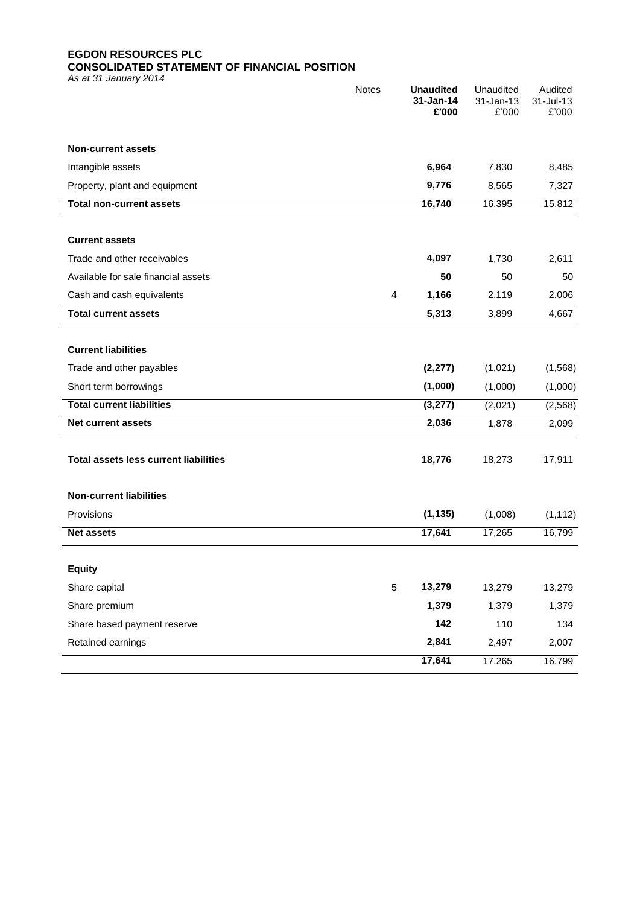# **EGDON RESOURCES PLC CONSOLIDATED STATEMENT OF FINANCIAL POSITION**

*As at 31 January 2014*

|                                              | <b>Notes</b> | <b>Unaudited</b><br>31-Jan-14<br>£'000 | Unaudited<br>31-Jan-13<br>£'000 | Audited<br>31-Jul-13<br>£'000 |
|----------------------------------------------|--------------|----------------------------------------|---------------------------------|-------------------------------|
| <b>Non-current assets</b>                    |              |                                        |                                 |                               |
| Intangible assets                            |              | 6,964                                  | 7,830                           | 8,485                         |
| Property, plant and equipment                |              | 9,776                                  | 8,565                           | 7,327                         |
| <b>Total non-current assets</b>              |              | 16,740                                 | 16,395                          | 15,812                        |
|                                              |              |                                        |                                 |                               |
| <b>Current assets</b>                        |              |                                        |                                 |                               |
| Trade and other receivables                  |              | 4,097                                  | 1,730                           | 2,611                         |
| Available for sale financial assets          |              | 50                                     | 50                              | 50                            |
| Cash and cash equivalents                    | 4            | 1,166                                  | 2,119                           | 2,006                         |
| <b>Total current assets</b>                  |              | 5,313                                  | 3,899                           | 4,667                         |
|                                              |              |                                        |                                 |                               |
| <b>Current liabilities</b>                   |              |                                        |                                 |                               |
| Trade and other payables                     |              | (2, 277)                               | (1,021)                         | (1, 568)                      |
| Short term borrowings                        |              | (1,000)                                | (1,000)                         | (1,000)                       |
| <b>Total current liabilities</b>             |              | (3, 277)                               | (2,021)                         | (2, 568)                      |
| <b>Net current assets</b>                    |              | 2,036                                  | 1,878                           | 2,099                         |
|                                              |              |                                        |                                 |                               |
| <b>Total assets less current liabilities</b> |              | 18,776                                 | 18,273                          | 17,911                        |
| <b>Non-current liabilities</b>               |              |                                        |                                 |                               |
| Provisions                                   |              | (1, 135)                               | (1,008)                         | (1, 112)                      |
| <b>Net assets</b>                            |              | 17,641                                 | 17,265                          | 16,799                        |
|                                              |              |                                        |                                 |                               |
| <b>Equity</b>                                |              |                                        |                                 |                               |
| Share capital                                | 5            | 13,279                                 | 13,279                          | 13,279                        |
| Share premium                                |              | 1,379                                  | 1,379                           | 1,379                         |
| Share based payment reserve                  |              | 142                                    | 110                             | 134                           |
| Retained earnings                            |              | 2,841                                  | 2,497                           | 2,007                         |
|                                              |              | 17,641                                 | 17,265                          | 16,799                        |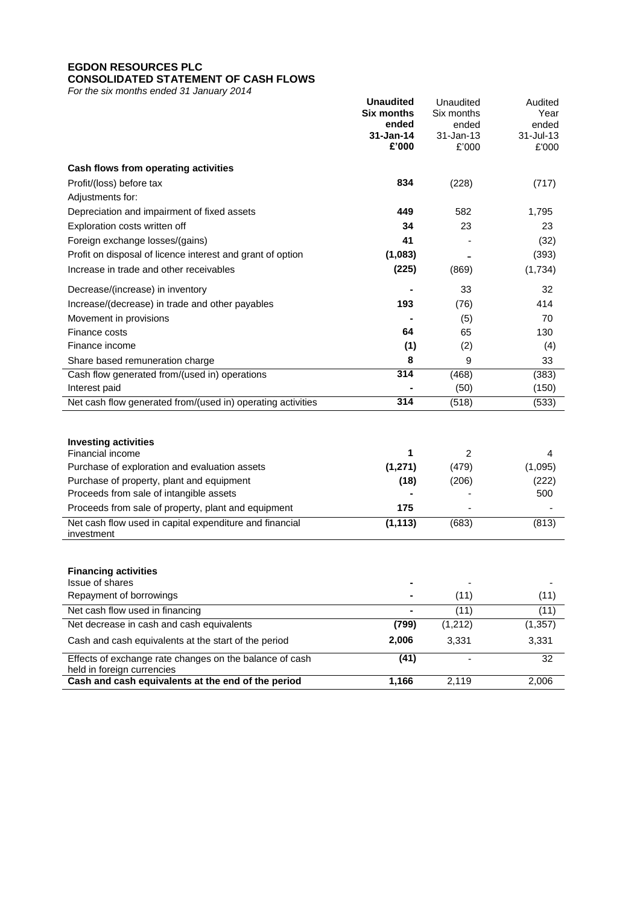# **EGDON RESOURCES PLC CONSOLIDATED STATEMENT OF CASH FLOWS**

*For the six months ended 31 January 2014*

|                                                                                       | <b>Unaudited</b><br><b>Six months</b><br>ended | Unaudited<br>Six months<br>ended | Audited<br>Year<br>ended  |
|---------------------------------------------------------------------------------------|------------------------------------------------|----------------------------------|---------------------------|
|                                                                                       | $31 - Jan-14$<br>£'000                         | 31-Jan-13<br>£'000               | $31 -$ Jul $-13$<br>£'000 |
| Cash flows from operating activities                                                  |                                                |                                  |                           |
| Profit/(loss) before tax                                                              | 834                                            | (228)                            | (717)                     |
| Adjustments for:                                                                      |                                                |                                  |                           |
| Depreciation and impairment of fixed assets                                           | 449                                            | 582                              | 1,795                     |
| Exploration costs written off                                                         | 34                                             | 23                               | 23                        |
| Foreign exchange losses/(gains)                                                       | 41                                             |                                  | (32)                      |
| Profit on disposal of licence interest and grant of option                            | (1,083)                                        |                                  | (393)                     |
| Increase in trade and other receivables                                               | (225)                                          | (869)                            | (1,734)                   |
| Decrease/(increase) in inventory                                                      |                                                | 33                               | 32                        |
| Increase/(decrease) in trade and other payables                                       | 193                                            | (76)                             | 414                       |
| Movement in provisions                                                                |                                                | (5)                              | 70                        |
| Finance costs                                                                         | 64                                             | 65                               | 130                       |
| Finance income                                                                        | (1)                                            | (2)                              | (4)                       |
| Share based remuneration charge                                                       | 8                                              | 9                                | 33                        |
| Cash flow generated from/(used in) operations                                         | 314                                            | (468)                            | (383)                     |
| Interest paid                                                                         |                                                | (50)                             | (150)                     |
| Net cash flow generated from/(used in) operating activities                           | 314                                            | (518)                            | (533)                     |
|                                                                                       |                                                |                                  |                           |
| <b>Investing activities</b><br>Financial income                                       | 1                                              | 2                                | 4                         |
| Purchase of exploration and evaluation assets                                         | (1, 271)                                       | (479)                            | (1,095)                   |
| Purchase of property, plant and equipment                                             | (18)                                           | (206)                            | (222)                     |
| Proceeds from sale of intangible assets                                               |                                                |                                  | 500                       |
| Proceeds from sale of property, plant and equipment                                   | 175                                            |                                  |                           |
| Net cash flow used in capital expenditure and financial                               | (1, 113)                                       | (683)                            | (813)                     |
| investment                                                                            |                                                |                                  |                           |
| <b>Financing activities</b>                                                           |                                                |                                  |                           |
| Issue of shares                                                                       |                                                |                                  |                           |
| Repayment of borrowings                                                               |                                                | (11)                             | (11)                      |
| Net cash flow used in financing                                                       |                                                | (11)                             | (11)                      |
| Net decrease in cash and cash equivalents                                             | (799)                                          | (1, 212)                         | (1, 357)                  |
| Cash and cash equivalents at the start of the period                                  | 2,006                                          | 3,331                            | 3,331                     |
| Effects of exchange rate changes on the balance of cash<br>held in foreign currencies | (41)                                           |                                  | 32                        |
| Cash and cash equivalents at the end of the period                                    | 1,166                                          | 2,119                            | 2,006                     |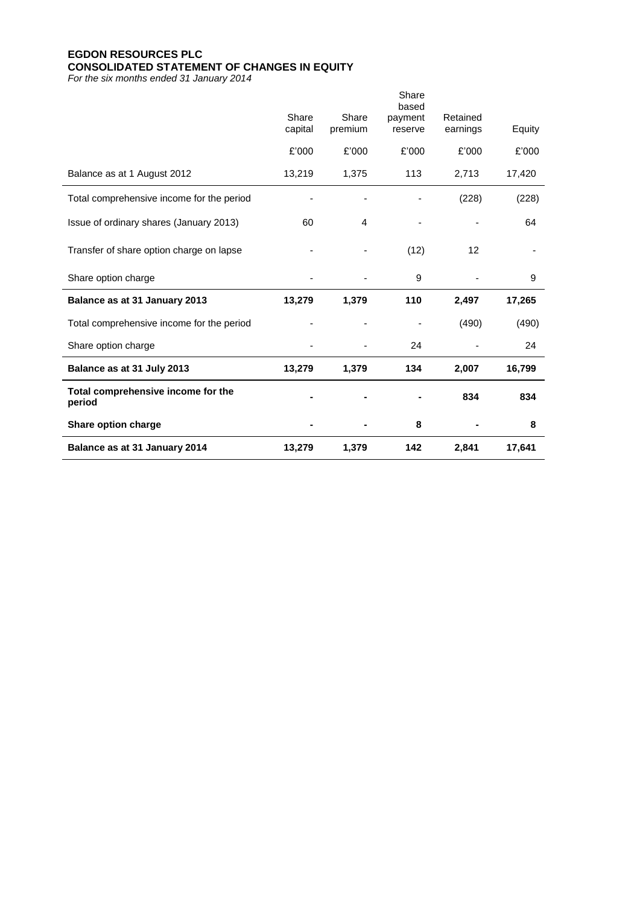# **EGDON RESOURCES PLC CONSOLIDATED STATEMENT OF CHANGES IN EQUITY**

*For the six months ended 31 January 2014*

| Balance as at 31 January 2014                | 13,279           | 1,379            | 142                         | 2,841                | 17,641 |
|----------------------------------------------|------------------|------------------|-----------------------------|----------------------|--------|
| Share option charge                          |                  |                  | 8                           |                      | 8      |
| Total comprehensive income for the<br>period |                  |                  |                             | 834                  | 834    |
| Balance as at 31 July 2013                   | 13,279           | 1,379            | 134                         | 2,007                | 16,799 |
| Share option charge                          |                  |                  | 24                          |                      | 24     |
| Total comprehensive income for the period    |                  |                  |                             | (490)                | (490)  |
| Balance as at 31 January 2013                | 13,279           | 1,379            | 110                         | 2,497                | 17,265 |
| Share option charge                          |                  |                  | 9                           |                      | 9      |
| Transfer of share option charge on lapse     |                  |                  | (12)                        | 12                   |        |
| Issue of ordinary shares (January 2013)      | 60               | 4                |                             |                      | 64     |
| Total comprehensive income for the period    |                  |                  |                             | (228)                | (228)  |
| Balance as at 1 August 2012                  | 13,219           | 1,375            | 113                         | 2,713                | 17,420 |
|                                              | £'000            | £'000            | £'000                       | £'000                | £'000  |
|                                              | Share<br>capital | Share<br>premium | based<br>payment<br>reserve | Retained<br>earnings | Equity |
|                                              |                  |                  | Share                       |                      |        |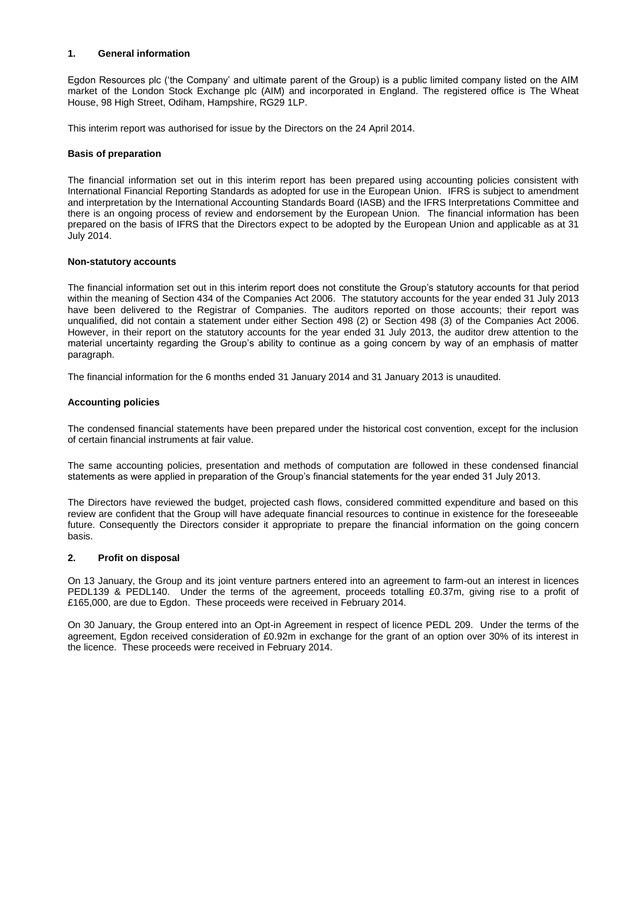## **1. General information**

Egdon Resources plc ('the Company' and ultimate parent of the Group) is a public limited company listed on the AIM market of the London Stock Exchange plc (AIM) and incorporated in England. The registered office is The Wheat House, 98 High Street, Odiham, Hampshire, RG29 1LP.

This interim report was authorised for issue by the Directors on the 24 April 2014.

## **Basis of preparation**

The financial information set out in this interim report has been prepared using accounting policies consistent with International Financial Reporting Standards as adopted for use in the European Union. IFRS is subject to amendment and interpretation by the International Accounting Standards Board (IASB) and the IFRS Interpretations Committee and there is an ongoing process of review and endorsement by the European Union. The financial information has been prepared on the basis of IFRS that the Directors expect to be adopted by the European Union and applicable as at 31 July 2014.

## **Non-statutory accounts**

The financial information set out in this interim report does not constitute the Group's statutory accounts for that period within the meaning of Section 434 of the Companies Act 2006. The statutory accounts for the year ended 31 July 2013 have been delivered to the Registrar of Companies. The auditors reported on those accounts; their report was unqualified, did not contain a statement under either Section 498 (2) or Section 498 (3) of the Companies Act 2006. However, in their report on the statutory accounts for the year ended 31 July 2013, the auditor drew attention to the material uncertainty regarding the Group's ability to continue as a going concern by way of an emphasis of matter paragraph.

The financial information for the 6 months ended 31 January 2014 and 31 January 2013 is unaudited.

## **Accounting policies**

The condensed financial statements have been prepared under the historical cost convention, except for the inclusion of certain financial instruments at fair value.

The same accounting policies, presentation and methods of computation are followed in these condensed financial statements as were applied in preparation of the Group's financial statements for the year ended 31 July 2013.

The Directors have reviewed the budget, projected cash flows, considered committed expenditure and based on this review are confident that the Group will have adequate financial resources to continue in existence for the foreseeable future. Consequently the Directors consider it appropriate to prepare the financial information on the going concern basis.

### **2. Profit on disposal**

On 13 January, the Group and its joint venture partners entered into an agreement to farm-out an interest in licences PEDL139 & PEDL140. Under the terms of the agreement, proceeds totalling £0.37m, giving rise to a profit of £165,000, are due to Egdon. These proceeds were received in February 2014.

On 30 January, the Group entered into an Opt-in Agreement in respect of licence PEDL 209. Under the terms of the agreement, Egdon received consideration of £0.92m in exchange for the grant of an option over 30% of its interest in the licence. These proceeds were received in February 2014.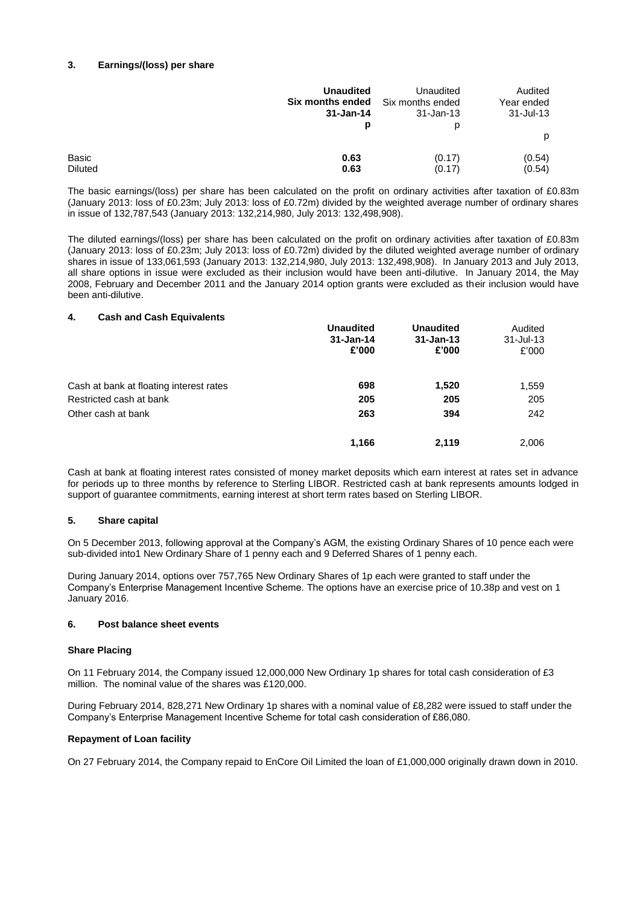## **3. Earnings/(loss) per share**

|                                | <b>Unaudited</b><br><b>Six months ended</b> Six months ended<br>31-Jan-14 | Unaudited<br>31-Jan-13 | Audited<br>Year ended<br>31-Jul-13 |
|--------------------------------|---------------------------------------------------------------------------|------------------------|------------------------------------|
|                                | р                                                                         | р                      | p                                  |
| <b>Basic</b><br><b>Diluted</b> | 0.63<br>0.63                                                              | (0.17)<br>(0.17)       | (0.54)<br>(0.54)                   |

The basic earnings/(loss) per share has been calculated on the profit on ordinary activities after taxation of £0.83m (January 2013: loss of £0.23m; July 2013: loss of £0.72m) divided by the weighted average number of ordinary shares in issue of 132,787,543 (January 2013: 132,214,980, July 2013: 132,498,908).

The diluted earnings/(loss) per share has been calculated on the profit on ordinary activities after taxation of £0.83m (January 2013: loss of £0.23m; July 2013: loss of £0.72m) divided by the diluted weighted average number of ordinary shares in issue of 133,061,593 (January 2013: 132,214,980, July 2013: 132,498,908). In January 2013 and July 2013, all share options in issue were excluded as their inclusion would have been anti-dilutive. In January 2014, the May 2008, February and December 2011 and the January 2014 option grants were excluded as their inclusion would have been anti-dilutive.

### **4. Cash and Cash Equivalents**

|                                         | <b>Unaudited</b><br>$31 - Jan-14$<br>£'000 | <b>Unaudited</b><br>$31 - Jan-13$<br>£'000 | Audited<br>$31 -$ Jul-13<br>£'000 |
|-----------------------------------------|--------------------------------------------|--------------------------------------------|-----------------------------------|
| Cash at bank at floating interest rates | 698                                        | 1,520                                      | 1,559                             |
| Restricted cash at bank                 | 205                                        | 205                                        | 205                               |
| Other cash at bank                      | 263                                        | 394                                        | 242                               |
|                                         | 1.166                                      | 2.119                                      | 2.006                             |

Cash at bank at floating interest rates consisted of money market deposits which earn interest at rates set in advance for periods up to three months by reference to Sterling LIBOR. Restricted cash at bank represents amounts lodged in support of guarantee commitments, earning interest at short term rates based on Sterling LIBOR.

# **5. Share capital**

On 5 December 2013, following approval at the Company's AGM, the existing Ordinary Shares of 10 pence each were sub-divided into1 New Ordinary Share of 1 penny each and 9 Deferred Shares of 1 penny each.

During January 2014, options over 757,765 New Ordinary Shares of 1p each were granted to staff under the Company's Enterprise Management Incentive Scheme. The options have an exercise price of 10.38p and vest on 1 January 2016.

### **6. Post balance sheet events**

### **Share Placing**

On 11 February 2014, the Company issued 12,000,000 New Ordinary 1p shares for total cash consideration of £3 million. The nominal value of the shares was £120,000.

During February 2014, 828,271 New Ordinary 1p shares with a nominal value of £8,282 were issued to staff under the Company's Enterprise Management Incentive Scheme for total cash consideration of £86,080.

### **Repayment of Loan facility**

On 27 February 2014, the Company repaid to EnCore Oil Limited the loan of £1,000,000 originally drawn down in 2010.